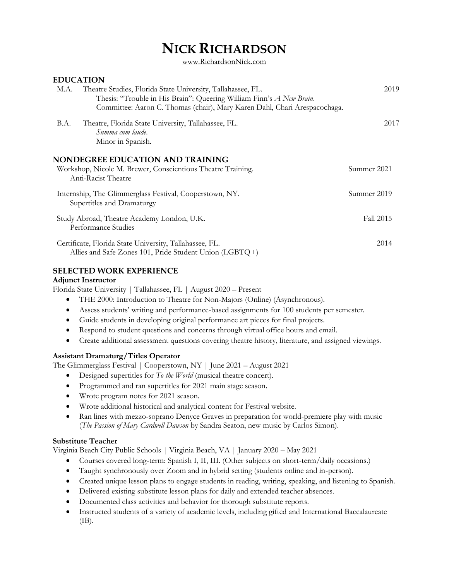# **NICK RICHARDSON**

www.RichardsonNick.com

# **EDUCATION**

| Theatre Studies, Florida State University, Tallahassee, FL.<br>M.A.<br>Thesis: "Trouble in His Brain": Queering William Finn's A New Brain.<br>Committee: Aaron C. Thomas (chair), Mary Karen Dahl, Chari Arespacochaga. | 2019        |
|--------------------------------------------------------------------------------------------------------------------------------------------------------------------------------------------------------------------------|-------------|
| B.A.<br>Theatre, Florida State University, Tallahassee, FL.<br>Summa cum laude.<br>Minor in Spanish.                                                                                                                     | 2017        |
| <b>NONDEGREE EDUCATION AND TRAINING</b><br>Workshop, Nicole M. Brewer, Conscientious Theatre Training.<br>Anti-Racist Theatre                                                                                            | Summer 2021 |
| Internship, The Glimmerglass Festival, Cooperstown, NY.<br>Supertitles and Dramaturgy                                                                                                                                    | Summer 2019 |
| Study Abroad, Theatre Academy London, U.K.<br>Performance Studies                                                                                                                                                        | Fall 2015   |
| Certificate, Florida State University, Tallahassee, FL.<br>Allies and Safe Zones 101, Pride Student Union (LGBTQ+)                                                                                                       | 2014        |

# **SELECTED WORK EXPERIENCE**

#### **Adjunct Instructor**

Florida State University | Tallahassee, FL | August 2020 – Present

- THE 2000: Introduction to Theatre for Non-Majors (Online) (Asynchronous).
- Assess students' writing and performance-based assignments for 100 students per semester.
- Guide students in developing original performance art pieces for final projects.
- Respond to student questions and concerns through virtual office hours and email.
- Create additional assessment questions covering theatre history, literature, and assigned viewings.

## **Assistant Dramaturg/Titles Operator**

The Glimmerglass Festival | Cooperstown, NY | June 2021 – August 2021

- Designed supertitles for *To the World* (musical theatre concert).
- Programmed and ran supertitles for 2021 main stage season.
- Wrote program notes for 2021 season.
- Wrote additional historical and analytical content for Festival website.
- Ran lines with mezzo-soprano Denyce Graves in preparation for world-premiere play with music (*The Passion of Mary Cardwell Dawson* by Sandra Seaton, new music by Carlos Simon).

# **Substitute Teacher**

Virginia Beach City Public Schools | Virginia Beach, VA | January 2020 – May 2021

- Courses covered long-term: Spanish I, II, III. (Other subjects on short-term/daily occasions.)
- Taught synchronously over Zoom and in hybrid setting (students online and in-person).
- Created unique lesson plans to engage students in reading, writing, speaking, and listening to Spanish.
- Delivered existing substitute lesson plans for daily and extended teacher absences.
- Documented class activities and behavior for thorough substitute reports.
- Instructed students of a variety of academic levels, including gifted and International Baccalaureate (IB).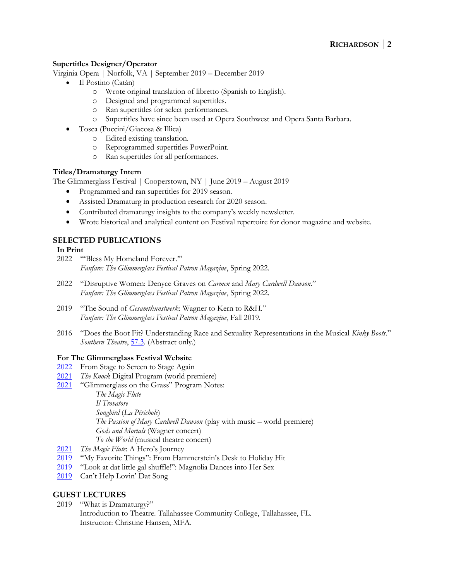## **Supertitles Designer/Operator**

Virginia Opera | Norfolk, VA | September 2019 – December 2019

- Il Postino (Catán)
	- o Wrote original translation of libretto (Spanish to English).
	- o Designed and programmed supertitles.
	- o Ran supertitles for select performances.
	- o Supertitles have since been used at Opera Southwest and Opera Santa Barbara.
- Tosca (Puccini/Giacosa & Illica)
	- o Edited existing translation.
		- o Reprogrammed supertitles PowerPoint.
		- o Ran supertitles for all performances.

# **Titles/Dramaturgy Intern**

The Glimmerglass Festival | Cooperstown, NY | June 2019 – August 2019

- Programmed and ran supertitles for 2019 season.
- Assisted Dramaturg in production research for 2020 season.
- Contributed dramaturgy insights to the company's weekly newsletter.
- Wrote historical and analytical content on Festival repertoire for donor magazine and website.

# **SELECTED PUBLICATIONS**

## **In Print**

- 2022 "'Bless My Homeland Forever.'" *Fanfare: The Glimmerglass Festival Patron Magazine*, Spring 2022.
- 2022 "Disruptive Women: Denyce Graves on *Carmen* and *Mary Cardwell Dawson*." *Fanfare: The Glimmerglass Festival Patron Magazine*, Spring 2022.
- 2019 "The Sound of *Gesamtkunstwerk*: Wagner to Kern to R&H." *Fanfare: The Glimmerglass Festival Patron Magazine*, Fall 2019.
- 2016 "Does the Boot Fit? Understanding Race and Sexuality Representations in the Musical *Kinky Boots*." *Southern Theatre*, [57.3.](https://1zi6ph2yt2t5cy2px4d5h1xl-wpengine.netdna-ssl.com/wp-content/uploads/2016/11/2016-summer.pdf) (Abstract only.)

## **For The Glimmerglass Festival Website**

- [2022](https://glimmerglass.org/2022/04/from-stage-to-screen-to-stage-again/) From Stage to Screen to Stage Again
- [2021](https://glimmerglass.org/2021/11/knock-digital-program/) *The Knock* Digital Program (world premiere)
- [2021](https://glimmerglass.org/2021program/) "Glimmerglass on the Grass" Program Notes:

*The Magic Flute*

*Il Trovatore*

*Songbird* (*La Périchole*)

*The Passion of Mary Cardwell Dawson* (play with music – world premiere)

- *Gods and Mortals* (Wagner concert)
- *To the World* (musical theatre concert)
- [2021](https://glimmerglass.org/2021/07/the-magic-flute-a-heros-journey/) *The Magic Flute*: A Hero's Journey
- [2019](https://glimmerglass.org/2019/12/my-favorite-things-from-hammersteins-desk-to-holiday-hit/) "My Favorite Things": From Hammerstein's Desk to Holiday Hit
- [2019](https://glimmerglass.org/2019/08/look-at-dat-little-gal-shuffle-magnolia-dances-into-her-sex/) "Look at dat little gal shuffle!": Magnolia Dances into Her Sex
- [2019](https://glimmerglass.org/2019/08/cant-help-lovin-dat-song/) Can't Help Lovin' Dat Song

# **GUEST LECTURES**

- 2019 "What is Dramaturgy?"
	- Introduction to Theatre. Tallahassee Community College, Tallahassee, FL. Instructor: Christine Hansen, MFA.